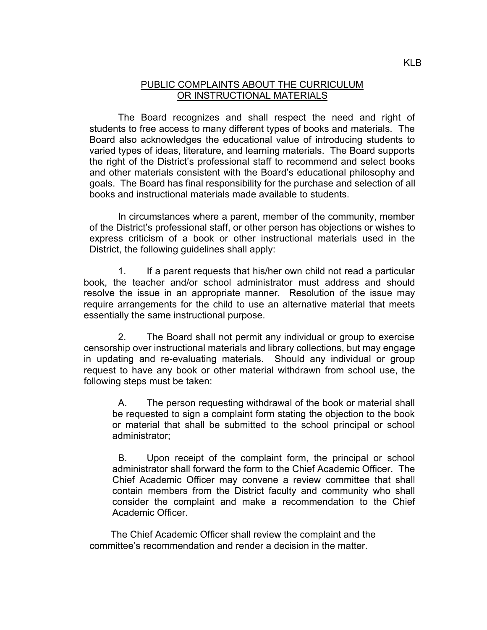## PUBLIC COMPLAINTS ABOUT THE CURRICULUM OR INSTRUCTIONAL MATERIALS

The Board recognizes and shall respect the need and right of students to free access to many different types of books and materials. The Board also acknowledges the educational value of introducing students to varied types of ideas, literature, and learning materials. The Board supports the right of the District's professional staff to recommend and select books and other materials consistent with the Board's educational philosophy and goals. The Board has final responsibility for the purchase and selection of all books and instructional materials made available to students.

In circumstances where a parent, member of the community, member of the District's professional staff, or other person has objections or wishes to express criticism of a book or other instructional materials used in the District, the following guidelines shall apply:

1. If a parent requests that his/her own child not read a particular book, the teacher and/or school administrator must address and should resolve the issue in an appropriate manner. Resolution of the issue may require arrangements for the child to use an alternative material that meets essentially the same instructional purpose.

2. The Board shall not permit any individual or group to exercise censorship over instructional materials and library collections, but may engage in updating and re-evaluating materials. Should any individual or group request to have any book or other material withdrawn from school use, the following steps must be taken:

A. The person requesting withdrawal of the book or material shall be requested to sign a complaint form stating the objection to the book or material that shall be submitted to the school principal or school administrator;

B. Upon receipt of the complaint form, the principal or school administrator shall forward the form to the Chief Academic Officer. The Chief Academic Officer may convene a review committee that shall contain members from the District faculty and community who shall consider the complaint and make a recommendation to the Chief Academic Officer.

 The Chief Academic Officer shall review the complaint and the committee's recommendation and render a decision in the matter.